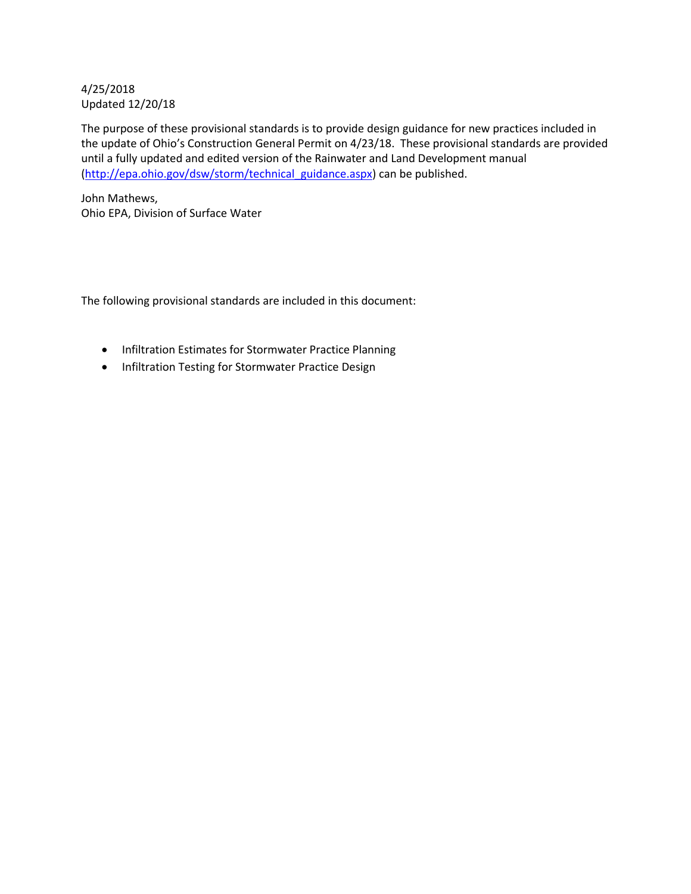### 4/25/2018 Updated 12/20/18

The purpose of these provisional standards is to provide design guidance for new practices included in the update of Ohio's Construction General Permit on 4/23/18. These provisional standards are provided until a fully updated and edited version of the Rainwater and Land Development manual [\(http://epa.ohio.gov/dsw/storm/technical\\_guidance.aspx\)](http://epa.ohio.gov/dsw/storm/technical_guidance.aspx) can be published.

John Mathews, Ohio EPA, Division of Surface Water

The following provisional standards are included in this document:

- Infiltration Estimates for Stormwater Practice Planning
- Infiltration Testing for Stormwater Practice Design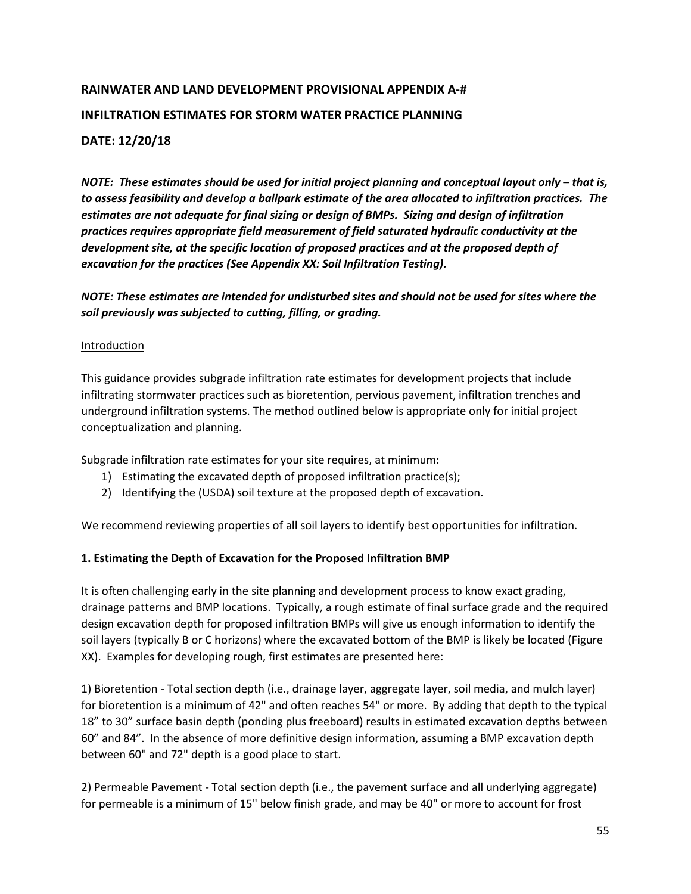# **RAINWATER AND LAND DEVELOPMENT PROVISIONAL APPENDIX A-# INFILTRATION ESTIMATES FOR STORM WATER PRACTICE PLANNING DATE: 12/20/18**

*NOTE: These estimates should be used for initial project planning and conceptual layout only – that is, to assess feasibility and develop a ballpark estimate of the area allocated to infiltration practices. The estimates are not adequate for final sizing or design of BMPs. Sizing and design of infiltration practices requires appropriate field measurement of field saturated hydraulic conductivity at the development site, at the specific location of proposed practices and at the proposed depth of excavation for the practices (See Appendix XX: Soil Infiltration Testing).*

*NOTE: These estimates are intended for undisturbed sites and should not be used for sites where the soil previously was subjected to cutting, filling, or grading.*

### **Introduction**

This guidance provides subgrade infiltration rate estimates for development projects that include infiltrating stormwater practices such as bioretention, pervious pavement, infiltration trenches and underground infiltration systems. The method outlined below is appropriate only for initial project conceptualization and planning.

Subgrade infiltration rate estimates for your site requires, at minimum:

- 1) Estimating the excavated depth of proposed infiltration practice(s);
- 2) Identifying the (USDA) soil texture at the proposed depth of excavation.

We recommend reviewing properties of all soil layers to identify best opportunities for infiltration.

### **1. Estimating the Depth of Excavation for the Proposed Infiltration BMP**

It is often challenging early in the site planning and development process to know exact grading, drainage patterns and BMP locations. Typically, a rough estimate of final surface grade and the required design excavation depth for proposed infiltration BMPs will give us enough information to identify the soil layers (typically B or C horizons) where the excavated bottom of the BMP is likely be located (Figure XX). Examples for developing rough, first estimates are presented here:

1) Bioretention - Total section depth (i.e., drainage layer, aggregate layer, soil media, and mulch layer) for bioretention is a minimum of 42" and often reaches 54" or more. By adding that depth to the typical 18" to 30" surface basin depth (ponding plus freeboard) results in estimated excavation depths between 60" and 84". In the absence of more definitive design information, assuming a BMP excavation depth between 60" and 72" depth is a good place to start.

2) Permeable Pavement - Total section depth (i.e., the pavement surface and all underlying aggregate) for permeable is a minimum of 15" below finish grade, and may be 40" or more to account for frost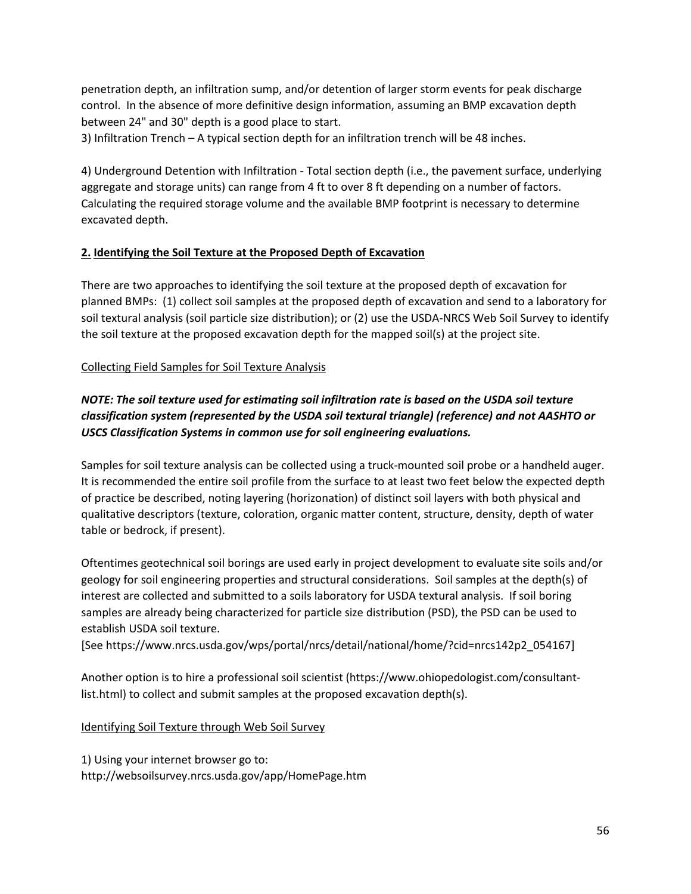penetration depth, an infiltration sump, and/or detention of larger storm events for peak discharge control. In the absence of more definitive design information, assuming an BMP excavation depth between 24" and 30" depth is a good place to start.

3) Infiltration Trench – A typical section depth for an infiltration trench will be 48 inches.

4) Underground Detention with Infiltration - Total section depth (i.e., the pavement surface, underlying aggregate and storage units) can range from 4 ft to over 8 ft depending on a number of factors. Calculating the required storage volume and the available BMP footprint is necessary to determine excavated depth.

### **2. Identifying the Soil Texture at the Proposed Depth of Excavation**

There are two approaches to identifying the soil texture at the proposed depth of excavation for planned BMPs: (1) collect soil samples at the proposed depth of excavation and send to a laboratory for soil textural analysis (soil particle size distribution); or (2) use the USDA-NRCS Web Soil Survey to identify the soil texture at the proposed excavation depth for the mapped soil(s) at the project site.

## Collecting Field Samples for Soil Texture Analysis

# *NOTE: The soil texture used for estimating soil infiltration rate is based on the USDA soil texture classification system (represented by the USDA soil textural triangle) (reference) and not AASHTO or USCS Classification Systems in common use for soil engineering evaluations.*

Samples for soil texture analysis can be collected using a truck-mounted soil probe or a handheld auger. It is recommended the entire soil profile from the surface to at least two feet below the expected depth of practice be described, noting layering (horizonation) of distinct soil layers with both physical and qualitative descriptors (texture, coloration, organic matter content, structure, density, depth of water table or bedrock, if present).

Oftentimes geotechnical soil borings are used early in project development to evaluate site soils and/or geology for soil engineering properties and structural considerations. Soil samples at the depth(s) of interest are collected and submitted to a soils laboratory for USDA textural analysis. If soil boring samples are already being characterized for particle size distribution (PSD), the PSD can be used to establish USDA soil texture.

[See https://www.nrcs.usda.gov/wps/portal/nrcs/detail/national/home/?cid=nrcs142p2\_054167]

Another option is to hire a professional soil scientist (https://www.ohiopedologist.com/consultantlist.html) to collect and submit samples at the proposed excavation depth(s).

## Identifying Soil Texture through Web Soil Survey

1) Using your internet browser go to: http://websoilsurvey.nrcs.usda.gov/app/HomePage.htm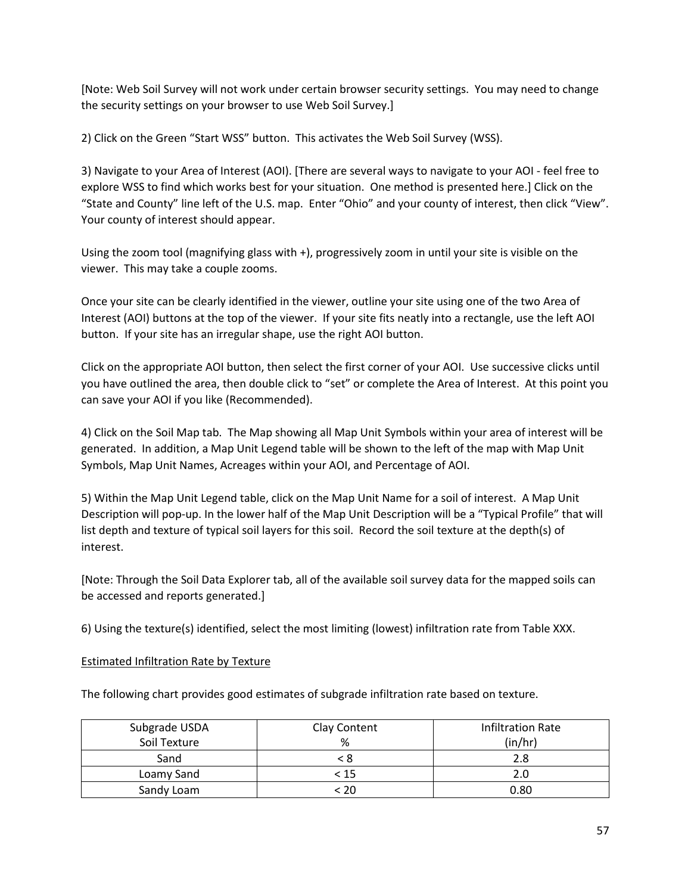[Note: Web Soil Survey will not work under certain browser security settings. You may need to change the security settings on your browser to use Web Soil Survey.]

2) Click on the Green "Start WSS" button. This activates the Web Soil Survey (WSS).

3) Navigate to your Area of Interest (AOI). [There are several ways to navigate to your AOI - feel free to explore WSS to find which works best for your situation. One method is presented here.] Click on the "State and County" line left of the U.S. map. Enter "Ohio" and your county of interest, then click "View". Your county of interest should appear.

Using the zoom tool (magnifying glass with +), progressively zoom in until your site is visible on the viewer. This may take a couple zooms.

Once your site can be clearly identified in the viewer, outline your site using one of the two Area of Interest (AOI) buttons at the top of the viewer. If your site fits neatly into a rectangle, use the left AOI button. If your site has an irregular shape, use the right AOI button.

Click on the appropriate AOI button, then select the first corner of your AOI. Use successive clicks until you have outlined the area, then double click to "set" or complete the Area of Interest. At this point you can save your AOI if you like (Recommended).

4) Click on the Soil Map tab. The Map showing all Map Unit Symbols within your area of interest will be generated. In addition, a Map Unit Legend table will be shown to the left of the map with Map Unit Symbols, Map Unit Names, Acreages within your AOI, and Percentage of AOI.

5) Within the Map Unit Legend table, click on the Map Unit Name for a soil of interest. A Map Unit Description will pop-up. In the lower half of the Map Unit Description will be a "Typical Profile" that will list depth and texture of typical soil layers for this soil. Record the soil texture at the depth(s) of interest.

[Note: Through the Soil Data Explorer tab, all of the available soil survey data for the mapped soils can be accessed and reports generated.]

6) Using the texture(s) identified, select the most limiting (lowest) infiltration rate from Table XXX.

### Estimated Infiltration Rate by Texture

The following chart provides good estimates of subgrade infiltration rate based on texture.

| Subgrade USDA | Clay Content | <b>Infiltration Rate</b> |  |  |
|---------------|--------------|--------------------------|--|--|
| Soil Texture  | %            | (in/hr)                  |  |  |
| Sand          |              | 2.8                      |  |  |
| Loamy Sand    | < 15         | 2.0                      |  |  |
| Sandy Loam    | ാറ           | 0.80                     |  |  |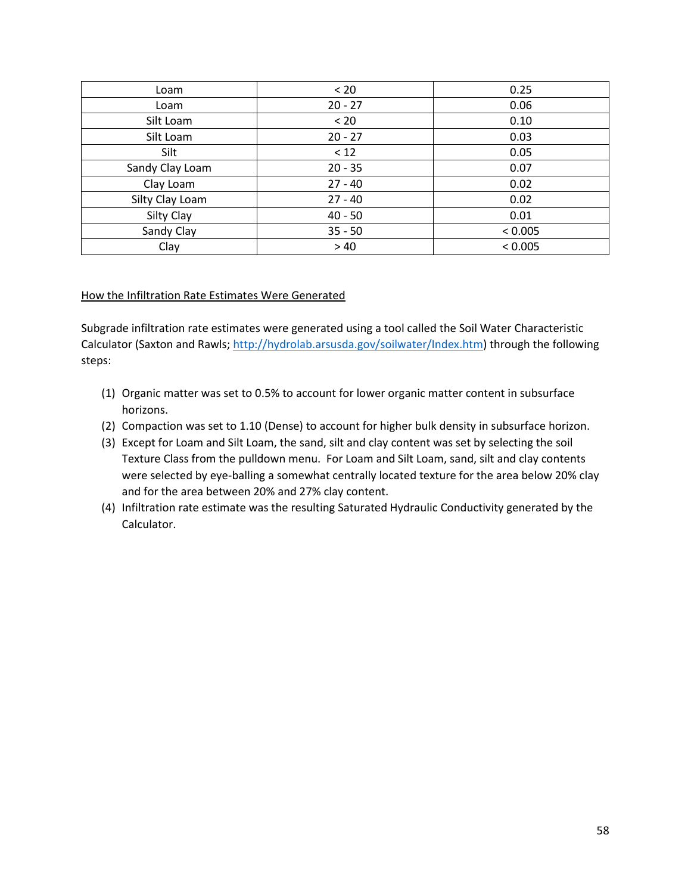| Loam            | < 20      | 0.25    |  |  |
|-----------------|-----------|---------|--|--|
| Loam            | $20 - 27$ | 0.06    |  |  |
| Silt Loam       | < 20      | 0.10    |  |  |
| Silt Loam       | $20 - 27$ | 0.03    |  |  |
| Silt            | < 12      | 0.05    |  |  |
| Sandy Clay Loam | $20 - 35$ | 0.07    |  |  |
| Clay Loam       | $27 - 40$ | 0.02    |  |  |
| Silty Clay Loam | $27 - 40$ | 0.02    |  |  |
| Silty Clay      | $40 - 50$ | 0.01    |  |  |
| Sandy Clay      | $35 - 50$ | < 0.005 |  |  |
| Clay            | >40       | < 0.005 |  |  |

### How the Infiltration Rate Estimates Were Generated

Subgrade infiltration rate estimates were generated using a tool called the Soil Water Characteristic Calculator (Saxton and Rawls[; http://hydrolab.arsusda.gov/soilwater/Index.htm\)](http://hydrolab.arsusda.gov/soilwater/Index.htm) through the following steps:

- (1) Organic matter was set to 0.5% to account for lower organic matter content in subsurface horizons.
- (2) Compaction was set to 1.10 (Dense) to account for higher bulk density in subsurface horizon.
- (3) Except for Loam and Silt Loam, the sand, silt and clay content was set by selecting the soil Texture Class from the pulldown menu. For Loam and Silt Loam, sand, silt and clay contents were selected by eye-balling a somewhat centrally located texture for the area below 20% clay and for the area between 20% and 27% clay content.
- (4) Infiltration rate estimate was the resulting Saturated Hydraulic Conductivity generated by the Calculator.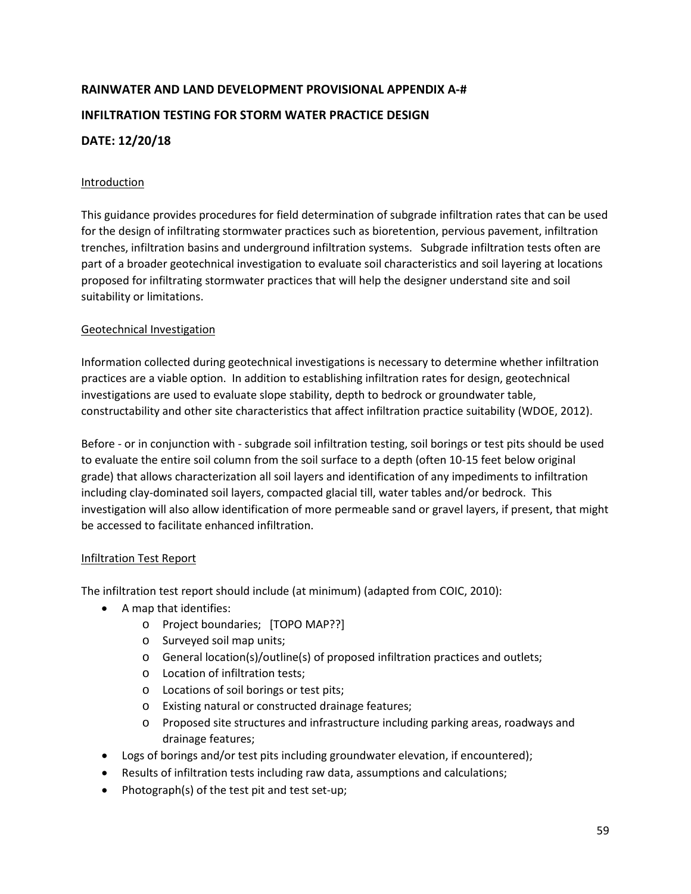# **RAINWATER AND LAND DEVELOPMENT PROVISIONAL APPENDIX A-# INFILTRATION TESTING FOR STORM WATER PRACTICE DESIGN DATE: 12/20/18**

## Introduction

This guidance provides procedures for field determination of subgrade infiltration rates that can be used for the design of infiltrating stormwater practices such as bioretention, pervious pavement, infiltration trenches, infiltration basins and underground infiltration systems. Subgrade infiltration tests often are part of a broader geotechnical investigation to evaluate soil characteristics and soil layering at locations proposed for infiltrating stormwater practices that will help the designer understand site and soil suitability or limitations.

## Geotechnical Investigation

Information collected during geotechnical investigations is necessary to determine whether infiltration practices are a viable option. In addition to establishing infiltration rates for design, geotechnical investigations are used to evaluate slope stability, depth to bedrock or groundwater table, constructability and other site characteristics that affect infiltration practice suitability (WDOE, 2012).

Before - or in conjunction with - subgrade soil infiltration testing, soil borings or test pits should be used to evaluate the entire soil column from the soil surface to a depth (often 10-15 feet below original grade) that allows characterization all soil layers and identification of any impediments to infiltration including clay-dominated soil layers, compacted glacial till, water tables and/or bedrock. This investigation will also allow identification of more permeable sand or gravel layers, if present, that might be accessed to facilitate enhanced infiltration.

## Infiltration Test Report

The infiltration test report should include (at minimum) (adapted from COIC, 2010):

- A map that identifies:
	- o Project boundaries; [TOPO MAP??]
	- o Surveyed soil map units;
	- o General location(s)/outline(s) of proposed infiltration practices and outlets;
	- o Location of infiltration tests;
	- o Locations of soil borings or test pits;
	- o Existing natural or constructed drainage features;
	- o Proposed site structures and infrastructure including parking areas, roadways and drainage features;
- Logs of borings and/or test pits including groundwater elevation, if encountered);
- Results of infiltration tests including raw data, assumptions and calculations;
- Photograph(s) of the test pit and test set-up;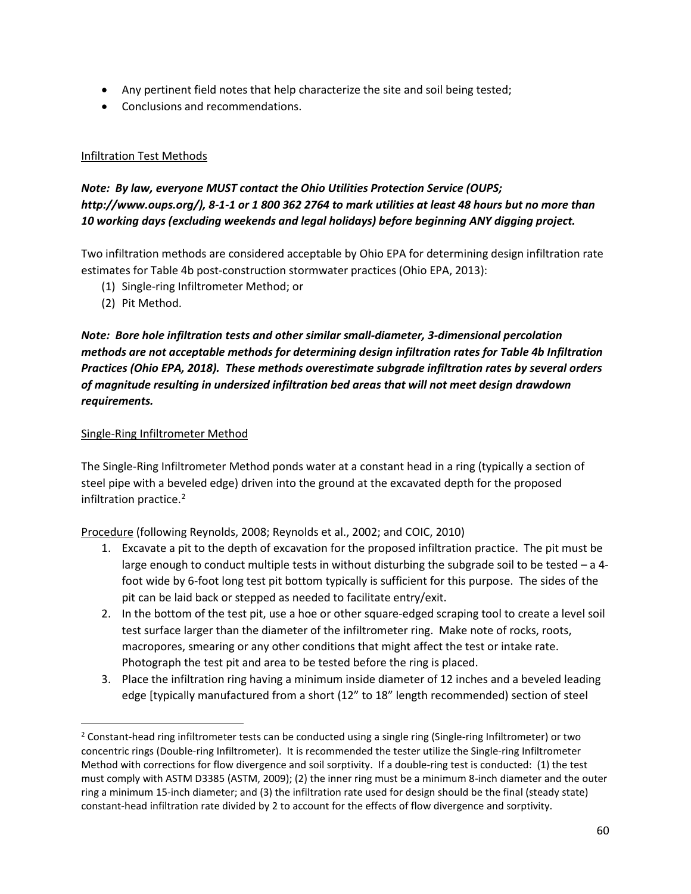- Any pertinent field notes that help characterize the site and soil being tested;
- Conclusions and recommendations.

### Infiltration Test Methods

## *Note: By law, everyone MUST contact the Ohio Utilities Protection Service (OUPS; http://www.oups.org/), 8-1-1 or 1 800 362 2764 to mark utilities at least 48 hours but no more than 10 working days (excluding weekends and legal holidays) before beginning ANY digging project.*

Two infiltration methods are considered acceptable by Ohio EPA for determining design infiltration rate estimates for Table 4b post-construction stormwater practices (Ohio EPA, 2013):

- (1) Single-ring Infiltrometer Method; or
- (2) Pit Method.

*Note: Bore hole infiltration tests and other similar small-diameter, 3-dimensional percolation methods are not acceptable methods for determining design infiltration rates for Table 4b Infiltration Practices (Ohio EPA, 2018). These methods overestimate subgrade infiltration rates by several orders of magnitude resulting in undersized infiltration bed areas that will not meet design drawdown requirements.*

### Single-Ring Infiltrometer Method

The Single-Ring Infiltrometer Method ponds water at a constant head in a ring (typically a section of steel pipe with a beveled edge) driven into the ground at the excavated depth for the proposed infiltration practice.<sup>[2](#page-6-0)</sup>

Procedure (following Reynolds, 2008; Reynolds et al., 2002; and COIC, 2010)

- 1. Excavate a pit to the depth of excavation for the proposed infiltration practice. The pit must be large enough to conduct multiple tests in without disturbing the subgrade soil to be tested – a 4 foot wide by 6-foot long test pit bottom typically is sufficient for this purpose. The sides of the pit can be laid back or stepped as needed to facilitate entry/exit.
- 2. In the bottom of the test pit, use a hoe or other square-edged scraping tool to create a level soil test surface larger than the diameter of the infiltrometer ring. Make note of rocks, roots, macropores, smearing or any other conditions that might affect the test or intake rate. Photograph the test pit and area to be tested before the ring is placed.
- 3. Place the infiltration ring having a minimum inside diameter of 12 inches and a beveled leading edge [typically manufactured from a short (12" to 18" length recommended) section of steel

<span id="page-6-0"></span><sup>&</sup>lt;sup>2</sup> Constant-head ring infiltrometer tests can be conducted using a single ring (Single-ring Infiltrometer) or two concentric rings (Double-ring Infiltrometer). It is recommended the tester utilize the Single-ring Infiltrometer Method with corrections for flow divergence and soil sorptivity. If a double-ring test is conducted: (1) the test must comply with ASTM D3385 (ASTM, 2009); (2) the inner ring must be a minimum 8-inch diameter and the outer ring a minimum 15-inch diameter; and (3) the infiltration rate used for design should be the final (steady state) constant-head infiltration rate divided by 2 to account for the effects of flow divergence and sorptivity.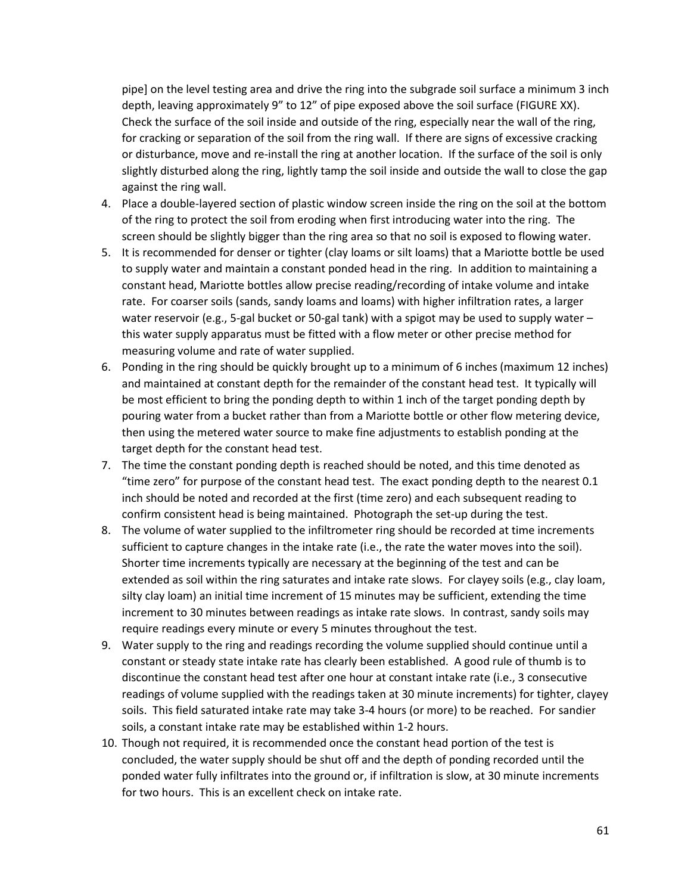pipe] on the level testing area and drive the ring into the subgrade soil surface a minimum 3 inch depth, leaving approximately 9" to 12" of pipe exposed above the soil surface (FIGURE XX). Check the surface of the soil inside and outside of the ring, especially near the wall of the ring, for cracking or separation of the soil from the ring wall. If there are signs of excessive cracking or disturbance, move and re-install the ring at another location. If the surface of the soil is only slightly disturbed along the ring, lightly tamp the soil inside and outside the wall to close the gap against the ring wall.

- 4. Place a double-layered section of plastic window screen inside the ring on the soil at the bottom of the ring to protect the soil from eroding when first introducing water into the ring. The screen should be slightly bigger than the ring area so that no soil is exposed to flowing water.
- 5. It is recommended for denser or tighter (clay loams or silt loams) that a Mariotte bottle be used to supply water and maintain a constant ponded head in the ring. In addition to maintaining a constant head, Mariotte bottles allow precise reading/recording of intake volume and intake rate. For coarser soils (sands, sandy loams and loams) with higher infiltration rates, a larger water reservoir (e.g., 5-gal bucket or 50-gal tank) with a spigot may be used to supply water – this water supply apparatus must be fitted with a flow meter or other precise method for measuring volume and rate of water supplied.
- 6. Ponding in the ring should be quickly brought up to a minimum of 6 inches (maximum 12 inches) and maintained at constant depth for the remainder of the constant head test. It typically will be most efficient to bring the ponding depth to within 1 inch of the target ponding depth by pouring water from a bucket rather than from a Mariotte bottle or other flow metering device, then using the metered water source to make fine adjustments to establish ponding at the target depth for the constant head test.
- 7. The time the constant ponding depth is reached should be noted, and this time denoted as "time zero" for purpose of the constant head test. The exact ponding depth to the nearest 0.1 inch should be noted and recorded at the first (time zero) and each subsequent reading to confirm consistent head is being maintained. Photograph the set-up during the test.
- 8. The volume of water supplied to the infiltrometer ring should be recorded at time increments sufficient to capture changes in the intake rate (i.e., the rate the water moves into the soil). Shorter time increments typically are necessary at the beginning of the test and can be extended as soil within the ring saturates and intake rate slows. For clayey soils (e.g., clay loam, silty clay loam) an initial time increment of 15 minutes may be sufficient, extending the time increment to 30 minutes between readings as intake rate slows. In contrast, sandy soils may require readings every minute or every 5 minutes throughout the test.
- 9. Water supply to the ring and readings recording the volume supplied should continue until a constant or steady state intake rate has clearly been established. A good rule of thumb is to discontinue the constant head test after one hour at constant intake rate (i.e., 3 consecutive readings of volume supplied with the readings taken at 30 minute increments) for tighter, clayey soils. This field saturated intake rate may take 3-4 hours (or more) to be reached. For sandier soils, a constant intake rate may be established within 1-2 hours.
- 10. Though not required, it is recommended once the constant head portion of the test is concluded, the water supply should be shut off and the depth of ponding recorded until the ponded water fully infiltrates into the ground or, if infiltration is slow, at 30 minute increments for two hours. This is an excellent check on intake rate.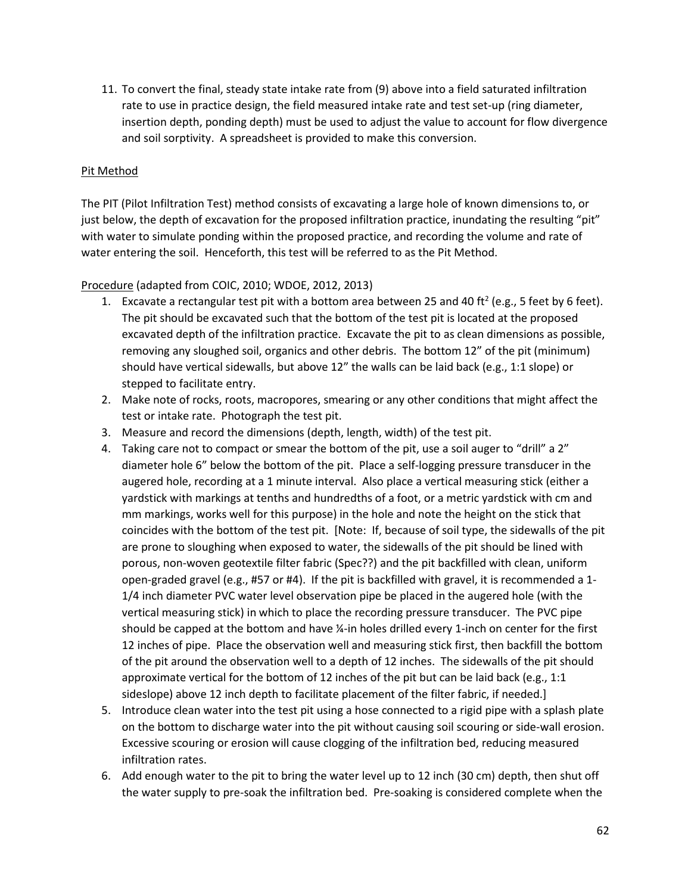11. To convert the final, steady state intake rate from (9) above into a field saturated infiltration rate to use in practice design, the field measured intake rate and test set-up (ring diameter, insertion depth, ponding depth) must be used to adjust the value to account for flow divergence and soil sorptivity. A spreadsheet is provided to make this conversion.

### Pit Method

The PIT (Pilot Infiltration Test) method consists of excavating a large hole of known dimensions to, or just below, the depth of excavation for the proposed infiltration practice, inundating the resulting "pit" with water to simulate ponding within the proposed practice, and recording the volume and rate of water entering the soil. Henceforth, this test will be referred to as the Pit Method.

### Procedure (adapted from COIC, 2010; WDOE, 2012, 2013)

- 1. Excavate a rectangular test pit with a bottom area between 25 and 40 ft<sup>2</sup> (e.g., 5 feet by 6 feet). The pit should be excavated such that the bottom of the test pit is located at the proposed excavated depth of the infiltration practice. Excavate the pit to as clean dimensions as possible, removing any sloughed soil, organics and other debris. The bottom 12" of the pit (minimum) should have vertical sidewalls, but above 12" the walls can be laid back (e.g., 1:1 slope) or stepped to facilitate entry.
- 2. Make note of rocks, roots, macropores, smearing or any other conditions that might affect the test or intake rate. Photograph the test pit.
- 3. Measure and record the dimensions (depth, length, width) of the test pit.
- 4. Taking care not to compact or smear the bottom of the pit, use a soil auger to "drill" a 2" diameter hole 6" below the bottom of the pit. Place a self-logging pressure transducer in the augered hole, recording at a 1 minute interval. Also place a vertical measuring stick (either a yardstick with markings at tenths and hundredths of a foot, or a metric yardstick with cm and mm markings, works well for this purpose) in the hole and note the height on the stick that coincides with the bottom of the test pit. [Note: If, because of soil type, the sidewalls of the pit are prone to sloughing when exposed to water, the sidewalls of the pit should be lined with porous, non-woven geotextile filter fabric (Spec??) and the pit backfilled with clean, uniform open-graded gravel (e.g., #57 or #4). If the pit is backfilled with gravel, it is recommended a 1- 1/4 inch diameter PVC water level observation pipe be placed in the augered hole (with the vertical measuring stick) in which to place the recording pressure transducer. The PVC pipe should be capped at the bottom and have ¼-in holes drilled every 1-inch on center for the first 12 inches of pipe. Place the observation well and measuring stick first, then backfill the bottom of the pit around the observation well to a depth of 12 inches. The sidewalls of the pit should approximate vertical for the bottom of 12 inches of the pit but can be laid back (e.g., 1:1 sideslope) above 12 inch depth to facilitate placement of the filter fabric, if needed.]
- 5. Introduce clean water into the test pit using a hose connected to a rigid pipe with a splash plate on the bottom to discharge water into the pit without causing soil scouring or side-wall erosion. Excessive scouring or erosion will cause clogging of the infiltration bed, reducing measured infiltration rates.
- 6. Add enough water to the pit to bring the water level up to 12 inch (30 cm) depth, then shut off the water supply to pre-soak the infiltration bed. Pre-soaking is considered complete when the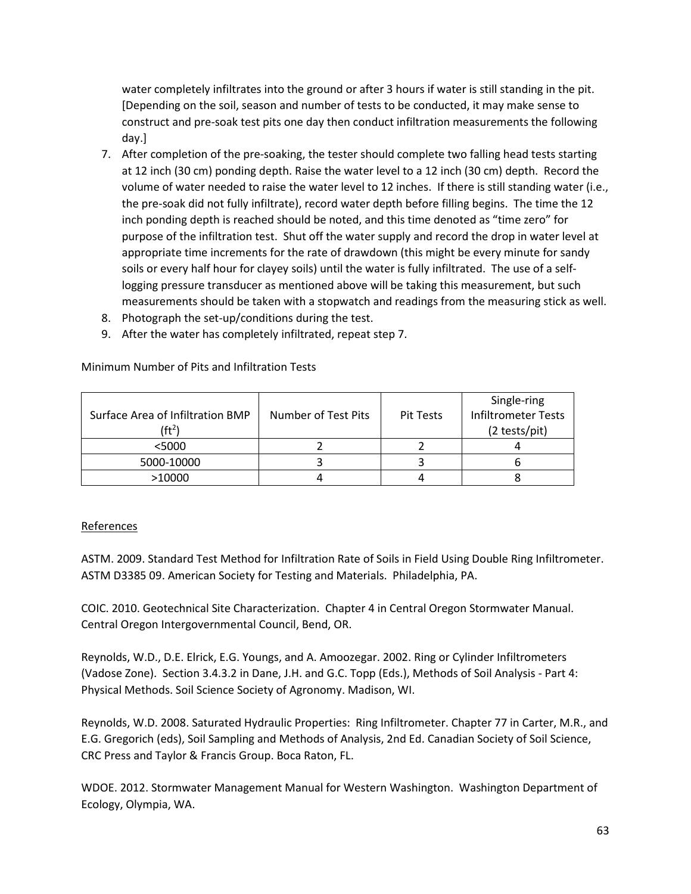water completely infiltrates into the ground or after 3 hours if water is still standing in the pit. [Depending on the soil, season and number of tests to be conducted, it may make sense to construct and pre-soak test pits one day then conduct infiltration measurements the following day.]

- 7. After completion of the pre-soaking, the tester should complete two falling head tests starting at 12 inch (30 cm) ponding depth. Raise the water level to a 12 inch (30 cm) depth. Record the volume of water needed to raise the water level to 12 inches. If there is still standing water (i.e., the pre-soak did not fully infiltrate), record water depth before filling begins. The time the 12 inch ponding depth is reached should be noted, and this time denoted as "time zero" for purpose of the infiltration test. Shut off the water supply and record the drop in water level at appropriate time increments for the rate of drawdown (this might be every minute for sandy soils or every half hour for clayey soils) until the water is fully infiltrated. The use of a selflogging pressure transducer as mentioned above will be taking this measurement, but such measurements should be taken with a stopwatch and readings from the measuring stick as well.
- 8. Photograph the set-up/conditions during the test.
- 9. After the water has completely infiltrated, repeat step 7.

|                                  |                     |           | Single-ring                |
|----------------------------------|---------------------|-----------|----------------------------|
| Surface Area of Infiltration BMP | Number of Test Pits | Pit Tests | <b>Infiltrometer Tests</b> |
| (ft $^2$ )                       |                     |           | (2 tests/pit)              |
| $<$ 5000                         |                     |           |                            |
| 5000-10000                       |                     |           |                            |
| >10000                           |                     |           |                            |

Minimum Number of Pits and Infiltration Tests

## References

ASTM. 2009. Standard Test Method for Infiltration Rate of Soils in Field Using Double Ring Infiltrometer. ASTM D3385 09. American Society for Testing and Materials. Philadelphia, PA.

COIC. 2010. Geotechnical Site Characterization. Chapter 4 in Central Oregon Stormwater Manual. Central Oregon Intergovernmental Council, Bend, OR.

Reynolds, W.D., D.E. Elrick, E.G. Youngs, and A. Amoozegar. 2002. Ring or Cylinder Infiltrometers (Vadose Zone). Section 3.4.3.2 in Dane, J.H. and G.C. Topp (Eds.), Methods of Soil Analysis - Part 4: Physical Methods. Soil Science Society of Agronomy. Madison, WI.

Reynolds, W.D. 2008. Saturated Hydraulic Properties: Ring Infiltrometer. Chapter 77 in Carter, M.R., and E.G. Gregorich (eds), Soil Sampling and Methods of Analysis, 2nd Ed. Canadian Society of Soil Science, CRC Press and Taylor & Francis Group. Boca Raton, FL.

WDOE. 2012. Stormwater Management Manual for Western Washington. Washington Department of Ecology, Olympia, WA.